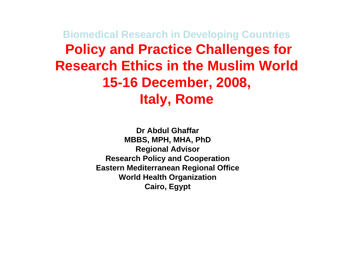**Biomedical Research in Developing Countries Policy and Practice Challenges for Research Ethics in the Muslim World15-16 December, 2008, Italy, Rome**

> **Dr Abdul GhaffarMBBS, MPH, MHA, PhD Regional Advisor Research Policy and Cooperation Eastern Mediterranean Regional Office World Health Organization Cairo, Egypt**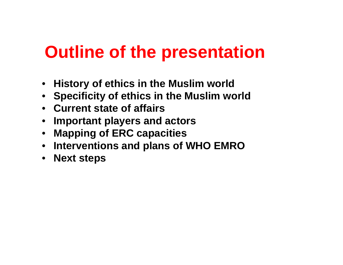# **Outline of the presentation**

- **History of ethics in the Muslim world**
- **Specificity of ethics in the Muslim world**
- **Current state of affairs**
- **Important players and actors**
- $\bullet$ **Mapping of ERC capacities**
- **Interventions and plans of WHO EMRO**
- **Next steps**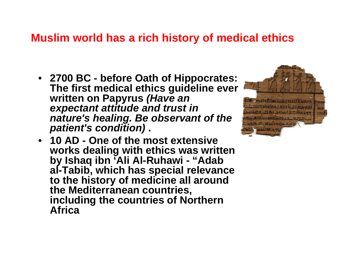#### **Muslim world has a rich history of medical ethics**

• **2700 BC - before Oath of Hippocrates: The first medical ethics guideline ever written on Papyrus** *(Have an expectant attitude and trust in nature's healing. Be observant of the patient's condition)* **.** 



• **10 AD - One of the most extensive works dealing with ethics was written by Ishaq ibn 'Ali Al-Ruhawi - "Adab al-Tabib, which has special relevance to the history of medicine all around the Mediterranean countries, including the countries of Northern Africa**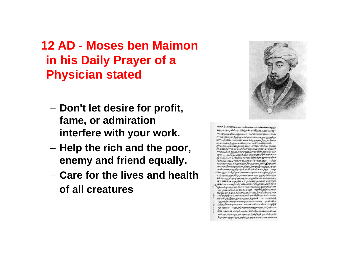#### **12 AD - Moses ben Maimonin his Daily Prayer of a Physician stated**

- **Don't let desire for profit, fame, or admiration interfere with your work.**
- – $-$  Help the rich and the poor, **enemy and friend equally.**
- **Care for the lives and health of all creatures**



an mi di pi paramantan baran para tersebut di man **فوجيهما سعد مرضع لك سب فحرق الملك مردد كالملا معدد سرخة** יקיעל אינו בוכב אלא פרויבל אור אינכובה קבווכל אלאיל הקרקע אי אין לומוכס כבע זהם לאבות בכלו שהכמונותה בעיר מעבן עור ومسول و وودي مره مدون نهره مل دهر منعور المعود ملائم مورد الم ל אבוא קאלות כו לכל אור אפלוקלה שברב מופשפה למי במבינע אור. מוכובת וסוריו שב עוברותי יומולה שהבבו המטורים ויסבלאליין למעושה לב יכמה אי עונה וינע יע לסיה לרכב לגיון עית מחוב כל ייולי וכות ממו מעול עם אלו כמו ארעות מאמת לכל לב למל כירה مده אلاتجوره معرفة المجيد داهي هوة والمرة موجوس دل متر ويوره مو موسعه לעלב קד קטומי בעלין ומצבן אחסוינכי כנונתו שר תיבביב מחול לא מכחלתי פונכברנים ליעור אות בריסויון עופבין עלא נחוטל וינינגישל שיותת מסווית וברולל ומעב כשב חייב ותברי אוא אינה שרקע מקום בין על פרוז בל ומקול ב שמת ברקומת וכרלה ישונה שמ מארי בערב נכורים לוכ לעול של פוב לעול יקלה כפי כית כקרקע למעה אן הולכ בהפניבשטר ובחוקת כתואנגרעו בעית לצלעיץ כיכתה ומניא בקונה מטלעילון על עב ותאיר אחרות לקריית עם וברולת חיות בחומת מן עם ל עמל מעבר לאוב עבה מוכלמן קט בעמוכות יע היורץ יסוד ער להלב ניטכולי כעות כלכל קול ממות קטעת לער הייב כל בתו על מל המובחים.<br>בקילה ליחל עבעות ליור וליחסל בליחי לאי על בי בביקוב לעלי כוחי לבין ביעים וקול את מכים פארי ריין כה פאר מו מונפעם ולאת ולוכי יטורק ומין בלמכר לינורי ממחיר תוב בוכינוב יומר לבי מאמי אנו مرمور الإسراء والمعدد عبره ودود وعمياد جروم مرمعه علم لعد יקל ורעאוא מעד לבלו יאור לבי מינתאי אומיל או על ב לן קטאו מנות הכר בחרנתו לאמשל מנוקקולב קבר אומאוש כלו מל לשי אות ם קומי קציבו במעות מוכ מוביעות וכמה העל מאור עול מוכד. אַוֹבָבּוֹי כה עם לתיתאיל לבנושף כתויר רוח מבורי עת במשפול במפלילן עוכן כמו ביצוע במקורים את מכרו רוח חבונים נות ב מותעו ז אלא נהער הער امه طه رخود له رخورد له خود كه مورد د مردم ده خر مرضود وحد الألمام الدائد وداد الموافق المحل ويدورهم لاعتداد الموادوس والموارد בוכמו זכה מקול לא יוזיר יכיר כב אובלא לשמו במעולל מקועבר להינוי יקירל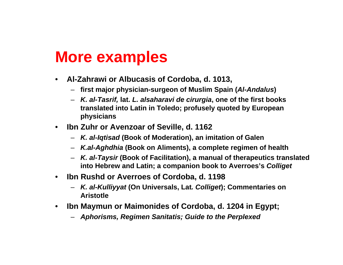## **More examples**

- $\bullet$  **Al-Zahrawi or Albucasis of Cordoba, d. 1013,**
	- **first major physician-surgeon of Muslim Spain (***Al-Andalus***)**
	- *K. al-Tasrif,* **lat.** *L. alsaharavi de cirurgia***, one of the first books translated into Latin in Toledo; profusely quoted by European physicians**
- $\bullet$  **Ibn Zuhr or Avenzoar of Seville, d. 1162**
	- *K. al-Iqtisad* **(Book of Moderation), an imitation of Galen**
	- *K.al-Aghdhia* **(Book on Aliments), a complete regimen of health**
	- *K. al-Taysir* **(Book of Facilitation), a manual of therapeutics translated into Hebrew and Latin; a companion book to Averroes's** *Colliget*
- $\bullet$  **Ibn Rushd or Averroes of Cordoba, d. 1198**
	- *K. al-Kulliyyat* **(On Universals, Lat***. Colliget***); Commentaries on Aristotle**
- $\bullet$  **Ibn Maymun or Maimonides of Cordoba, d. 1204 in Egypt;** 
	- *Aphorisms, Regimen Sanitatis; Guide to the Perplexed*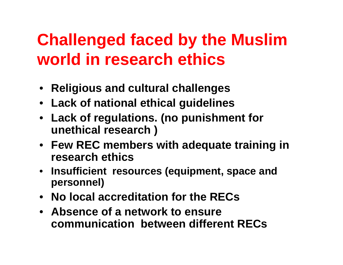# **Challenged faced by the Muslim world in research ethics**

- **Religious and cultural challenges**
- **Lack of national ethical guidelines**
- **Lack of regulations. (no punishment for unethical research )**
- **Few REC members with adequate training in research ethics**
- **Insufficient resources (equipment, space and personnel)**
- **No local accreditation for the RECs**
- **Absence of a network to ensure communication between different RECs**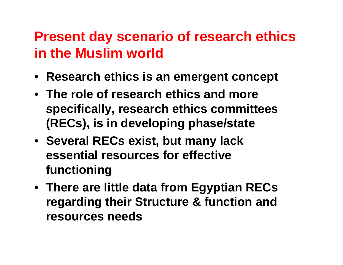## **Present day scenario of research ethics in the Muslim world**

- **Research ethics is an emergent concept**
- **The role of research ethics and more specifically, research ethics committees (RECs), is in developing phase/state**
- **Several RECs exist, but many lack essential resources for effective functioning**
- **There are little data from Egyptian RECs regarding their Structure & function and resources needs**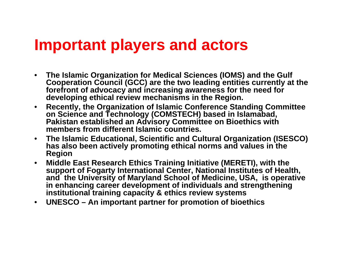## **Important players and actors**

- $\bullet$  **The Islamic Organization for Medical Sciences (IOMS) and the Gulf Cooperation Council (GCC) are the two leading entities currently at the forefront of advocacy and increasing awareness for the need for developing ethical review mechanisms in the Region.**
- $\bullet$  **Recently, the Organization of Islamic Conference Standing Committee on Science and Technology (COMSTECH) based in Islamabad, Pakistan established an Advisory Committee on Bioethics with members from different Islamic countries.**
- $\bullet$  **The Islamic Educational, Scientific and Cultural Organization (ISESCO) has also been actively promoting ethical norms and values in the Region**
- $\bullet$  **Middle East Research Ethics Training Initiative (MERETI), with the support of Fogarty International Center, National Institutes of Health, and the University of Maryland School of Medicine, USA, is operative in enhancing career development of individuals and strengthening institutional training capacity & ethics review systems**
- $\bullet$ **UNESCO – An important partner for promotion of bioethics**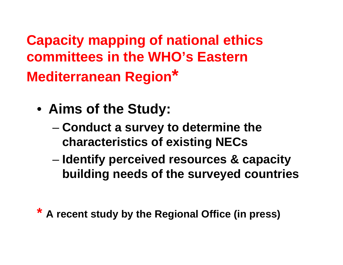**Capacity mapping of national ethics committees in the WHO's Eastern Mediterranean Region\***

- **Aims of the Study:**
	- **Conduct a survey to determine the characteristics of existing NECs**
	- – **Identify perceived resources & capacity building needs of the surveyed countries**
- **\* A recent study by the Regional Office (in press)**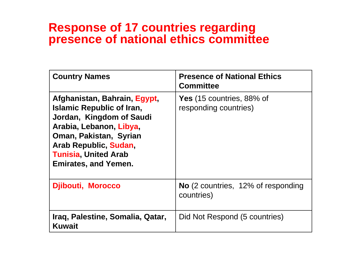#### **Response of 17 countries regarding presence of national ethics committee**

| <b>Country Names</b>                                                                                                                                                                                                                     | <b>Presence of National Ethics</b><br><b>Committee</b>    |
|------------------------------------------------------------------------------------------------------------------------------------------------------------------------------------------------------------------------------------------|-----------------------------------------------------------|
| Afghanistan, Bahrain, Egypt,<br><b>Islamic Republic of Iran,</b><br>Jordan, Kingdom of Saudi<br>Arabia, Lebanon, Libya,<br>Oman, Pakistan, Syrian<br>Arab Republic, Sudan,<br><b>Tunisia, United Arab</b><br><b>Emirates, and Yemen.</b> | <b>Yes</b> (15 countries, 88% of<br>responding countries) |
| <b>Djibouti, Morocco</b>                                                                                                                                                                                                                 | <b>No</b> (2 countries, 12% of responding<br>countries)   |
| Iraq, Palestine, Somalia, Qatar,<br>Kuwait                                                                                                                                                                                               | Did Not Respond (5 countries)                             |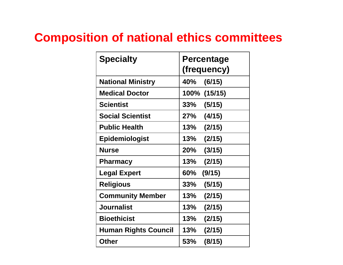#### **Composition of national ethics committees**

| <b>Specialty</b>            | <b>Percentage</b><br>(frequency) |
|-----------------------------|----------------------------------|
|                             |                                  |
| <b>National Ministry</b>    | 40%<br>(6/15)                    |
| <b>Medical Doctor</b>       | 100% (15/15)                     |
| <b>Scientist</b>            | $33\%$<br>(5/15)                 |
| <b>Social Scientist</b>     | 27%<br>(4/15)                    |
| <b>Public Health</b>        | 13%<br>(2/15)                    |
| <b>Epidemiologist</b>       | 13%<br>(2/15)                    |
| <b>Nurse</b>                | 20%<br>(3/15)                    |
| <b>Pharmacy</b>             | 13%<br>(2/15)                    |
| <b>Legal Expert</b>         | (9/15)<br>60%                    |
| <b>Religious</b>            | 33%<br>(5/15)                    |
| <b>Community Member</b>     | 13%<br>(2/15)                    |
| <b>Journalist</b>           | 13%<br>(2/15)                    |
| <b>Bioethicist</b>          | $13\%$<br>(2/15)                 |
| <b>Human Rights Council</b> | $13\%$<br>(2/15)                 |
| <b>Other</b>                | (8/15)<br>53%                    |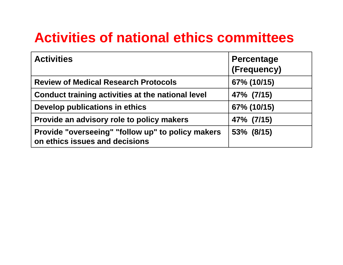## **Activities of national ethics committees**

| <b>Activities</b>                                                                   | <b>Percentage</b><br>(Frequency) |
|-------------------------------------------------------------------------------------|----------------------------------|
| <b>Review of Medical Research Protocols</b>                                         | 67% (10/15)                      |
| Conduct training activities at the national level                                   | 47% (7/15)                       |
| Develop publications in ethics                                                      | 67% (10/15)                      |
| Provide an advisory role to policy makers                                           | 47% (7/15)                       |
| Provide "overseeing" "follow up" to policy makers<br>on ethics issues and decisions | 53% (8/15)                       |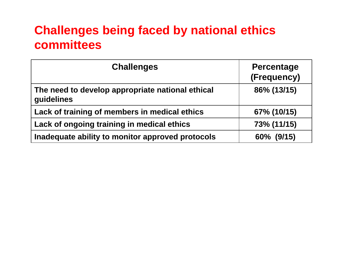#### **Challenges being faced by national ethics committees**

| <b>Challenges</b>                                              | <b>Percentage</b><br>(Frequency) |
|----------------------------------------------------------------|----------------------------------|
| The need to develop appropriate national ethical<br>guidelines | 86% (13/15)                      |
| Lack of training of members in medical ethics                  | 67% (10/15)                      |
| Lack of ongoing training in medical ethics                     | 73% (11/15)                      |
| Inadequate ability to monitor approved protocols               | 60% (9/15)                       |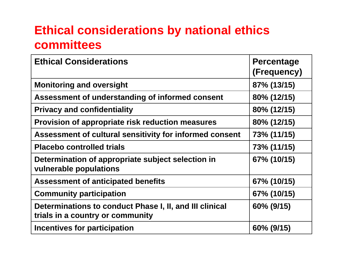#### **Ethical considerations by national ethics committees**

| <b>Ethical Considerations</b>                                                               | <b>Percentage</b><br>(Frequency) |
|---------------------------------------------------------------------------------------------|----------------------------------|
| <b>Monitoring and oversight</b>                                                             | 87% (13/15)                      |
| Assessment of understanding of informed consent                                             | 80% (12/15)                      |
| <b>Privacy and confidentiality</b>                                                          | 80% (12/15)                      |
| Provision of appropriate risk reduction measures                                            | 80% (12/15)                      |
| Assessment of cultural sensitivity for informed consent                                     | 73% (11/15)                      |
| <b>Placebo controlled trials</b>                                                            | 73% (11/15)                      |
| Determination of appropriate subject selection in<br>vulnerable populations                 | 67% (10/15)                      |
| <b>Assessment of anticipated benefits</b>                                                   | 67% (10/15)                      |
| <b>Community participation</b>                                                              | 67% (10/15)                      |
| Determinations to conduct Phase I, II, and III clinical<br>trials in a country or community | 60% (9/15)                       |
| Incentives for participation                                                                | 60% (9/15)                       |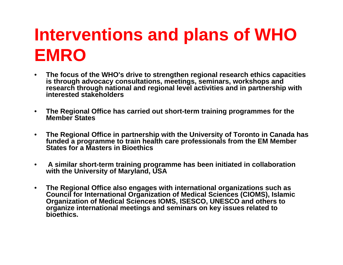# **Interventions and plans of WHO EMRO**

- • **The focus of the WHO's drive to strengthen regional research ethics capacities is through advocacy consultations, meetings, seminars, workshops and research through national and regional level activities and in partnership with interested stakeholders**
- $\bullet$  **The Regional Office has carried out short-term training programmes for the Member States**
- $\bullet$  **The Regional Office in partnership with the University of Toronto in Canada has funded a programme to train health care professionals from the EM Member States for a Masters in Bioethics**
- $\bullet$  **A similar short-term training programme has been initiated in collaboration with the University of Maryland, USA**
- $\bullet$  **The Regional Office also engages with international organizations such as Council for International Organization of Medical Sciences (CIOMS), Islamic Organization of Medical Sciences IOMS, ISESCO, UNESCO and others to organize international meetings and seminars on key issues related to bioethics.**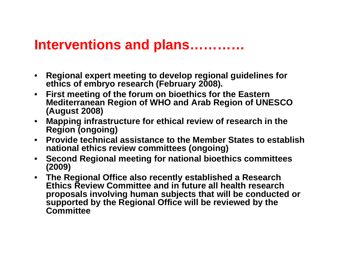#### **Interventions and plans…………**

- $\bullet$  **Regional expert meeting to develop regional guidelines for ethics of embryo research (February 2008).**
- $\bullet$  **First meeting of the forum on bioethics for the Eastern Mediterranean Region of WHO and Arab Region of UNESCO (August 2008)**
- $\bullet$  **Mapping infrastructure for ethical review of research in the Region (ongoing)**
- $\bullet$  **Provide technical assistance to the Member States to establish national ethics review committees (ongoing)**
- $\bullet$  **Second Regional meeting for national bioethics committees (2009)**
- **The Regional Office also recently established a Research Ethics Review Committee and in future all health research proposals involving human subjects that will be conducted or supported by the Regional Office will be reviewed by the Committee**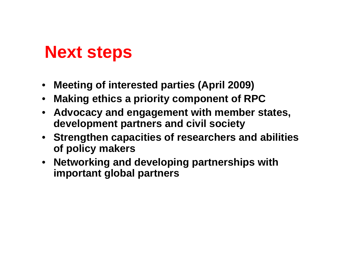## **Next steps**

- **Meeting of interested parties (April 2009)**
- •**Making ethics a priority component of RPC**
- **Advocacy and engagement with member states, development partners and civil society**
- **Strengthen capacities of researchers and abilities of policy makers**
- **Networking and developing partnerships with important global partners**